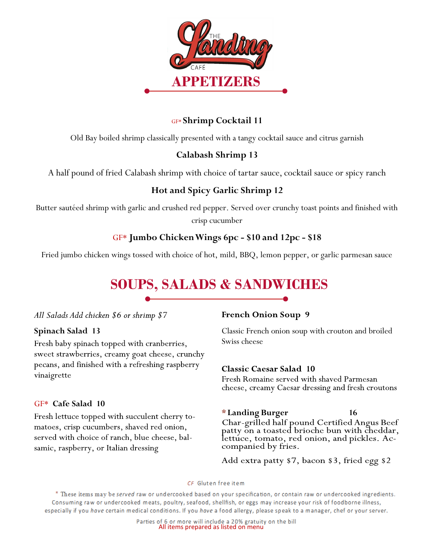

## GF\* **Shrimp Cocktail 11**

Old Bay boiled shrimp classically presented with a tangy cocktail sauce and citrus garnish

## **Calabash Shrimp 13**

A half pound of fried Calabash shrimp with choice of tartar sauce, cocktail sauce or spicy ranch

## **Hot and Spicy Garlic Shrimp 12**

Butter sautéed shrimp with garlic and crushed red pepper. Served over crunchy toast points and finished with crisp cucumber

## GF\* **Jumbo Chicken Wings 6pc - \$10 and 12pc - \$18**

Fried jumbo chicken wings tossed with choice of hot, mild, BBQ, lemon pepper, or garlic parmesan sauce

# **SOUPS, SALADS & SANDWICHES**

#### All Salads Add chicken \$6 or shrimp \$7

#### **Spinach Salad 13**

Fresh baby spinach topped with cranberries, sweet strawberries, creamy goat cheese, crunchy pecans, and finished with a refreshing raspberry vinaigrette

#### GF\* **Cafe Salad 10**

Fresh lettuce topped with succulent cherry tomatoes, crisp cucumbers, shaved red onion, served with choice of ranch, blue cheese, balsamic, raspberry, or Italian dressing

#### **French Onion Soup 9**

Classic French onion soup with crouton and broiled Swiss cheese

#### **Classic Caesar Salad 10**

companied by fries.

Fresh Romaine served with shaved Parmesan cheese, creamy Caesar dressing and fresh croutons

#### **\* Landing Burger 16** Char-grilled half pound Certified Angus Beef patty on a toasted brioche bun with cheddar, lettuce, tomato, red onion, and pickles. Ac-

Add extra patty \$7, bacon \$3, fried egg \$2

CF Gluten free item

\* These items may be served raw or undercooked based on your specification, or contain raw or undercooked ingredients. Consuming raw or undercooked meats, poultry, seafood, shellfish, or eggs may increase your risk of foodborne illness, especially if you have certain medical conditions. If you have a food allergy, please speak to a manager, chef or your server.

Parties of 6 or more will include a 20% gratuity on the bill<br>All items prepared as listed on menu